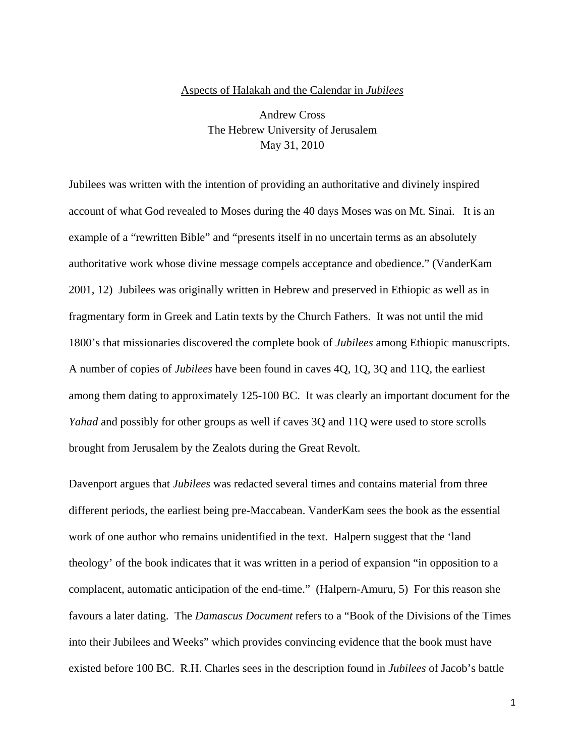## Aspects of Halakah and the Calendar in *Jubilees*

Andrew Cross The Hebrew University of Jerusalem May 31, 2010

Jubilees was written with the intention of providing an authoritative and divinely inspired account of what God revealed to Moses during the 40 days Moses was on Mt. Sinai. It is an example of a "rewritten Bible" and "presents itself in no uncertain terms as an absolutely authoritative work whose divine message compels acceptance and obedience." (VanderKam 2001, 12) Jubilees was originally written in Hebrew and preserved in Ethiopic as well as in fragmentary form in Greek and Latin texts by the Church Fathers. It was not until the mid 1800's that missionaries discovered the complete book of *Jubilees* among Ethiopic manuscripts. A number of copies of *Jubilees* have been found in caves 4Q, 1Q, 3Q and 11Q, the earliest among them dating to approximately 125-100 BC. It was clearly an important document for the *Yahad* and possibly for other groups as well if caves 3Q and 11Q were used to store scrolls brought from Jerusalem by the Zealots during the Great Revolt.

Davenport argues that *Jubilees* was redacted several times and contains material from three different periods, the earliest being pre-Maccabean. VanderKam sees the book as the essential work of one author who remains unidentified in the text. Halpern suggest that the 'land theology' of the book indicates that it was written in a period of expansion "in opposition to a complacent, automatic anticipation of the end-time." (Halpern-Amuru, 5) For this reason she favours a later dating. The *Damascus Document* refers to a "Book of the Divisions of the Times into their Jubilees and Weeks" which provides convincing evidence that the book must have existed before 100 BC. R.H. Charles sees in the description found in *Jubilees* of Jacob's battle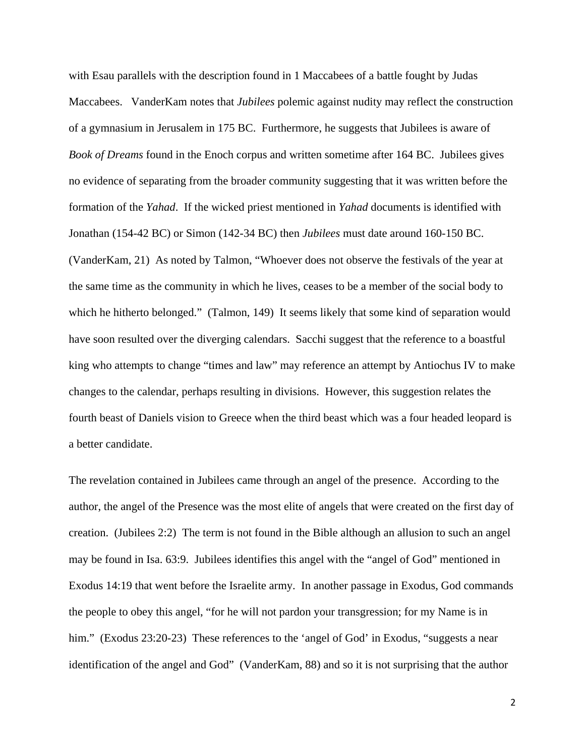with Esau parallels with the description found in 1 Maccabees of a battle fought by Judas Maccabees. VanderKam notes that *Jubilees* polemic against nudity may reflect the construction of a gymnasium in Jerusalem in 175 BC. Furthermore, he suggests that Jubilees is aware of *Book of Dreams* found in the Enoch corpus and written sometime after 164 BC. Jubilees gives no evidence of separating from the broader community suggesting that it was written before the formation of the *Yahad*. If the wicked priest mentioned in *Yahad* documents is identified with Jonathan (154-42 BC) or Simon (142-34 BC) then *Jubilees* must date around 160-150 BC. (VanderKam, 21) As noted by Talmon, "Whoever does not observe the festivals of the year at the same time as the community in which he lives, ceases to be a member of the social body to which he hitherto belonged." (Talmon, 149) It seems likely that some kind of separation would have soon resulted over the diverging calendars. Sacchi suggest that the reference to a boastful king who attempts to change "times and law" may reference an attempt by Antiochus IV to make changes to the calendar, perhaps resulting in divisions. However, this suggestion relates the fourth beast of Daniels vision to Greece when the third beast which was a four headed leopard is a better candidate.

The revelation contained in Jubilees came through an angel of the presence. According to the author, the angel of the Presence was the most elite of angels that were created on the first day of creation. (Jubilees 2:2) The term is not found in the Bible although an allusion to such an angel may be found in Isa. 63:9. Jubilees identifies this angel with the "angel of God" mentioned in Exodus 14:19 that went before the Israelite army. In another passage in Exodus, God commands the people to obey this angel, "for he will not pardon your transgression; for my Name is in him." (Exodus 23:20-23) These references to the 'angel of God' in Exodus, "suggests a near identification of the angel and God" (VanderKam, 88) and so it is not surprising that the author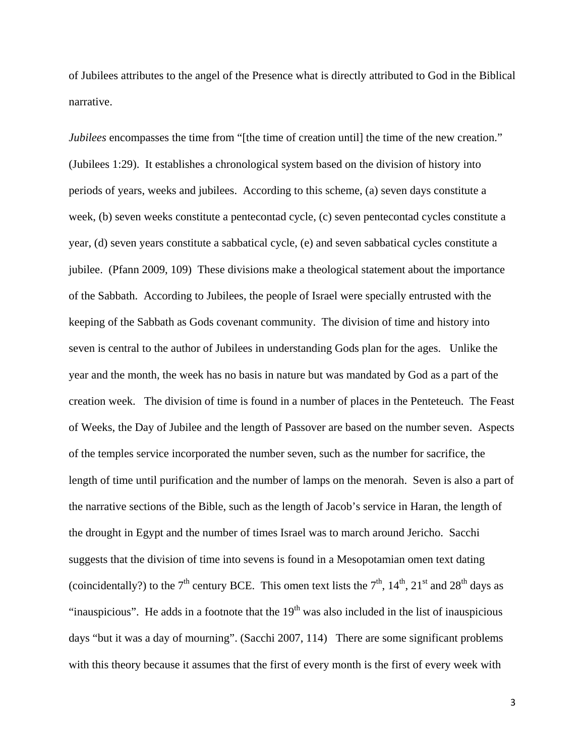of Jubilees attributes to the angel of the Presence what is directly attributed to God in the Biblical narrative.

*Jubilees* encompasses the time from "[the time of creation until] the time of the new creation." (Jubilees 1:29). It establishes a chronological system based on the division of history into periods of years, weeks and jubilees. According to this scheme, (a) seven days constitute a week, (b) seven weeks constitute a pentecontad cycle, (c) seven pentecontad cycles constitute a year, (d) seven years constitute a sabbatical cycle, (e) and seven sabbatical cycles constitute a jubilee. (Pfann 2009, 109) These divisions make a theological statement about the importance of the Sabbath. According to Jubilees, the people of Israel were specially entrusted with the keeping of the Sabbath as Gods covenant community. The division of time and history into seven is central to the author of Jubilees in understanding Gods plan for the ages. Unlike the year and the month, the week has no basis in nature but was mandated by God as a part of the creation week. The division of time is found in a number of places in the Penteteuch. The Feast of Weeks, the Day of Jubilee and the length of Passover are based on the number seven. Aspects of the temples service incorporated the number seven, such as the number for sacrifice, the length of time until purification and the number of lamps on the menorah. Seven is also a part of the narrative sections of the Bible, such as the length of Jacob's service in Haran, the length of the drought in Egypt and the number of times Israel was to march around Jericho. Sacchi suggests that the division of time into sevens is found in a Mesopotamian omen text dating (coincidentally?) to the  $7<sup>th</sup>$  century BCE. This omen text lists the  $7<sup>th</sup>$ ,  $14<sup>th</sup>$ ,  $21<sup>st</sup>$  and  $28<sup>th</sup>$  days as "inauspicious". He adds in a footnote that the  $19<sup>th</sup>$  was also included in the list of inauspicious days "but it was a day of mourning". (Sacchi 2007, 114) There are some significant problems with this theory because it assumes that the first of every month is the first of every week with

3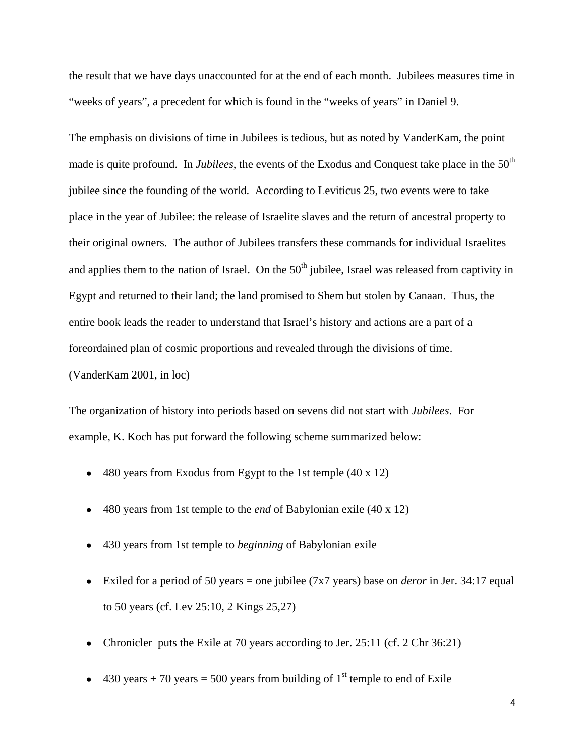the result that we have days unaccounted for at the end of each month. Jubilees measures time in "weeks of years", a precedent for which is found in the "weeks of years" in Daniel 9.

The emphasis on divisions of time in Jubilees is tedious, but as noted by VanderKam, the point made is quite profound. In *Jubilees*, the events of the Exodus and Conquest take place in the 50<sup>th</sup> jubilee since the founding of the world. According to Leviticus 25, two events were to take place in the year of Jubilee: the release of Israelite slaves and the return of ancestral property to their original owners. The author of Jubilees transfers these commands for individual Israelites and applies them to the nation of Israel. On the  $50<sup>th</sup>$  jubilee, Israel was released from captivity in Egypt and returned to their land; the land promised to Shem but stolen by Canaan. Thus, the entire book leads the reader to understand that Israel's history and actions are a part of a foreordained plan of cosmic proportions and revealed through the divisions of time. (VanderKam 2001, in loc)

The organization of history into periods based on sevens did not start with *Jubilees*. For example, K. Koch has put forward the following scheme summarized below:

- $\bullet$  480 years from Exodus from Egypt to the 1st temple (40 x 12)
- 480 years from 1st temple to the *end* of Babylonian exile (40 x 12)
- 430 years from 1st temple to *beginning* of Babylonian exile
- Exiled for a period of 50 years = one jubilee (7x7 years) base on *deror* in Jer. 34:17 equal to 50 years (cf. Lev 25:10, 2 Kings 25,27)
- Chronicler puts the Exile at 70 years according to Jer. 25:11 (cf. 2 Chr 36:21)
- 430 years + 70 years = 500 years from building of 1<sup>st</sup> temple to end of Exile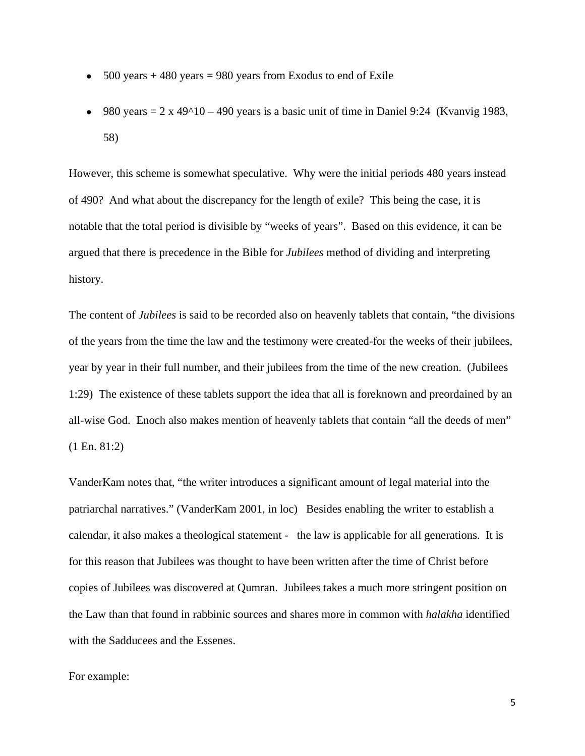- $\bullet$  500 years + 480 years = 980 years from Exodus to end of Exile
- 980 years  $= 2 \times 49^{\circ}10 490$  years is a basic unit of time in Daniel 9:24 (Kvanvig 1983, 58)

However, this scheme is somewhat speculative. Why were the initial periods 480 years instead of 490? And what about the discrepancy for the length of exile? This being the case, it is notable that the total period is divisible by "weeks of years". Based on this evidence, it can be argued that there is precedence in the Bible for *Jubilees* method of dividing and interpreting history.

The content of *Jubilees* is said to be recorded also on heavenly tablets that contain, "the divisions of the years from the time the law and the testimony were created-for the weeks of their jubilees, year by year in their full number, and their jubilees from the time of the new creation. (Jubilees 1:29) The existence of these tablets support the idea that all is foreknown and preordained by an all-wise God. Enoch also makes mention of heavenly tablets that contain "all the deeds of men" (1 En. 81:2)

VanderKam notes that, "the writer introduces a significant amount of legal material into the patriarchal narratives." (VanderKam 2001, in loc) Besides enabling the writer to establish a calendar, it also makes a theological statement - the law is applicable for all generations. It is for this reason that Jubilees was thought to have been written after the time of Christ before copies of Jubilees was discovered at Qumran. Jubilees takes a much more stringent position on the Law than that found in rabbinic sources and shares more in common with *halakha* identified with the Sadducees and the Essenes.

## For example: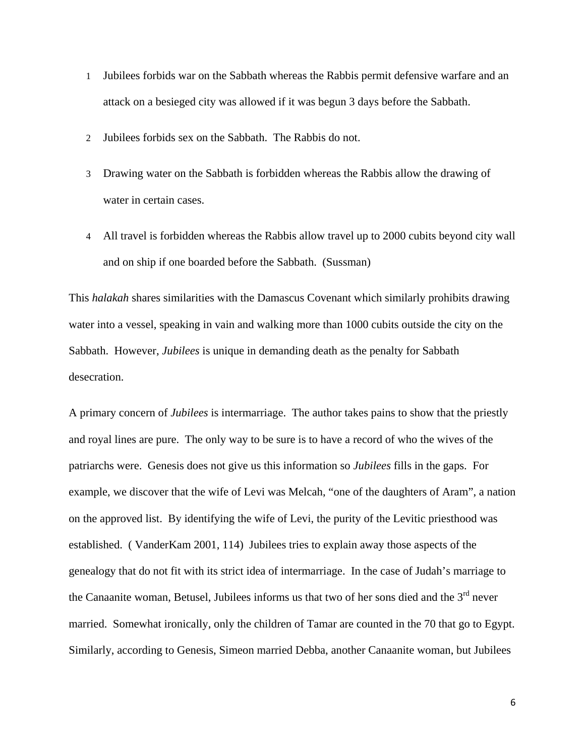- 1 Jubilees forbids war on the Sabbath whereas the Rabbis permit defensive warfare and an attack on a besieged city was allowed if it was begun 3 days before the Sabbath.
- 2 Jubilees forbids sex on the Sabbath. The Rabbis do not.
- 3 Drawing water on the Sabbath is forbidden whereas the Rabbis allow the drawing of water in certain cases.
- 4 All travel is forbidden whereas the Rabbis allow travel up to 2000 cubits beyond city wall and on ship if one boarded before the Sabbath. (Sussman)

This *halakah* shares similarities with the Damascus Covenant which similarly prohibits drawing water into a vessel, speaking in vain and walking more than 1000 cubits outside the city on the Sabbath. However, *Jubilees* is unique in demanding death as the penalty for Sabbath desecration.

A primary concern of *Jubilees* is intermarriage. The author takes pains to show that the priestly and royal lines are pure. The only way to be sure is to have a record of who the wives of the patriarchs were. Genesis does not give us this information so *Jubilees* fills in the gaps. For example, we discover that the wife of Levi was Melcah, "one of the daughters of Aram", a nation on the approved list. By identifying the wife of Levi, the purity of the Levitic priesthood was established. ( VanderKam 2001, 114) Jubilees tries to explain away those aspects of the genealogy that do not fit with its strict idea of intermarriage. In the case of Judah's marriage to the Canaanite woman, Betusel, Jubilees informs us that two of her sons died and the  $3<sup>rd</sup>$  never married. Somewhat ironically, only the children of Tamar are counted in the 70 that go to Egypt. Similarly, according to Genesis, Simeon married Debba, another Canaanite woman, but Jubilees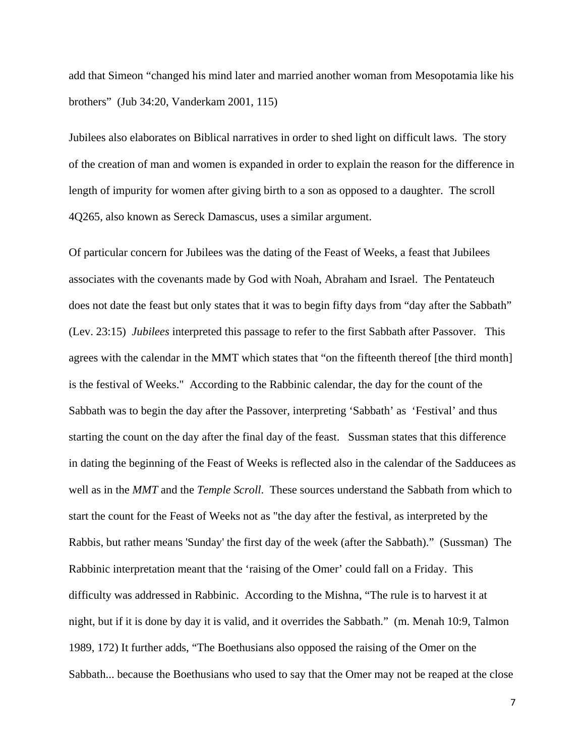add that Simeon "changed his mind later and married another woman from Mesopotamia like his brothers" (Jub 34:20, Vanderkam 2001, 115)

Jubilees also elaborates on Biblical narratives in order to shed light on difficult laws. The story of the creation of man and women is expanded in order to explain the reason for the difference in length of impurity for women after giving birth to a son as opposed to a daughter. The scroll 4Q265, also known as Sereck Damascus, uses a similar argument.

Of particular concern for Jubilees was the dating of the Feast of Weeks, a feast that Jubilees associates with the covenants made by God with Noah, Abraham and Israel. The Pentateuch does not date the feast but only states that it was to begin fifty days from "day after the Sabbath" (Lev. 23:15) *Jubilees* interpreted this passage to refer to the first Sabbath after Passover. This agrees with the calendar in the MMT which states that "on the fifteenth thereof [the third month] is the festival of Weeks." According to the Rabbinic calendar, the day for the count of the Sabbath was to begin the day after the Passover, interpreting 'Sabbath' as 'Festival' and thus starting the count on the day after the final day of the feast. Sussman states that this difference in dating the beginning of the Feast of Weeks is reflected also in the calendar of the Sadducees as well as in the *MMT* and the *Temple Scroll*. These sources understand the Sabbath from which to start the count for the Feast of Weeks not as "the day after the festival, as interpreted by the Rabbis, but rather means 'Sunday' the first day of the week (after the Sabbath)." (Sussman) The Rabbinic interpretation meant that the 'raising of the Omer' could fall on a Friday. This difficulty was addressed in Rabbinic. According to the Mishna, "The rule is to harvest it at night, but if it is done by day it is valid, and it overrides the Sabbath." (m. Menah 10:9, Talmon 1989, 172) It further adds, "The Boethusians also opposed the raising of the Omer on the Sabbath... because the Boethusians who used to say that the Omer may not be reaped at the close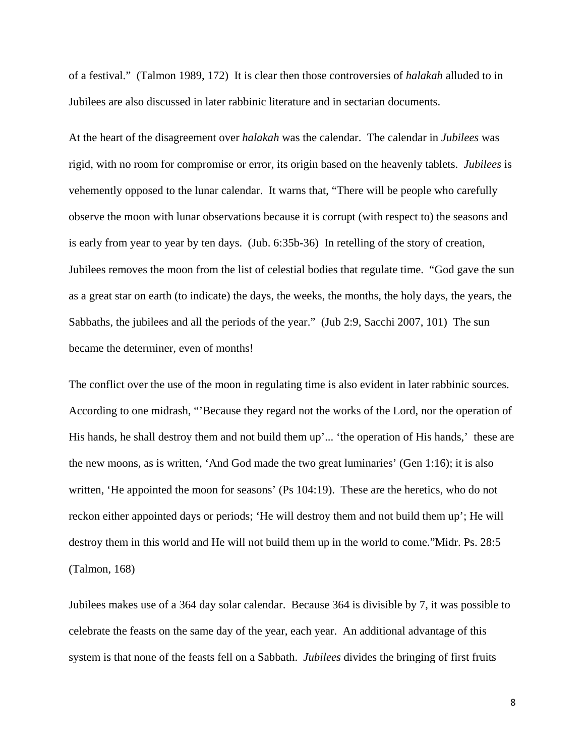of a festival." (Talmon 1989, 172) It is clear then those controversies of *halakah* alluded to in Jubilees are also discussed in later rabbinic literature and in sectarian documents.

At the heart of the disagreement over *halakah* was the calendar. The calendar in *Jubilees* was rigid, with no room for compromise or error, its origin based on the heavenly tablets. *Jubilees* is vehemently opposed to the lunar calendar. It warns that, "There will be people who carefully observe the moon with lunar observations because it is corrupt (with respect to) the seasons and is early from year to year by ten days. (Jub. 6:35b-36) In retelling of the story of creation, Jubilees removes the moon from the list of celestial bodies that regulate time. "God gave the sun as a great star on earth (to indicate) the days, the weeks, the months, the holy days, the years, the Sabbaths, the jubilees and all the periods of the year." (Jub 2:9, Sacchi 2007, 101) The sun became the determiner, even of months!

The conflict over the use of the moon in regulating time is also evident in later rabbinic sources. According to one midrash, "'Because they regard not the works of the Lord, nor the operation of His hands, he shall destroy them and not build them up'... 'the operation of His hands,' these are the new moons, as is written, 'And God made the two great luminaries' (Gen 1:16); it is also written, 'He appointed the moon for seasons' (Ps 104:19). These are the heretics, who do not reckon either appointed days or periods; 'He will destroy them and not build them up'; He will destroy them in this world and He will not build them up in the world to come."Midr. Ps. 28:5 (Talmon, 168)

Jubilees makes use of a 364 day solar calendar. Because 364 is divisible by 7, it was possible to celebrate the feasts on the same day of the year, each year. An additional advantage of this system is that none of the feasts fell on a Sabbath. *Jubilees* divides the bringing of first fruits

8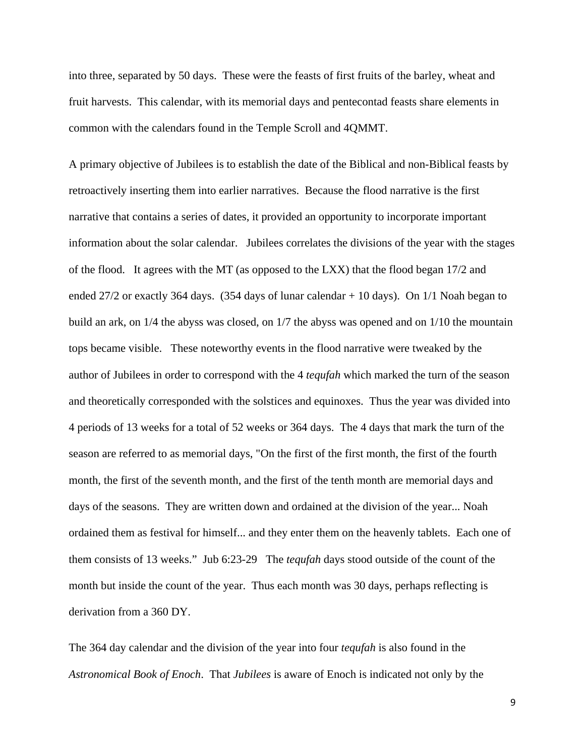into three, separated by 50 days. These were the feasts of first fruits of the barley, wheat and fruit harvests. This calendar, with its memorial days and pentecontad feasts share elements in common with the calendars found in the Temple Scroll and 4QMMT.

A primary objective of Jubilees is to establish the date of the Biblical and non-Biblical feasts by retroactively inserting them into earlier narratives. Because the flood narrative is the first narrative that contains a series of dates, it provided an opportunity to incorporate important information about the solar calendar. Jubilees correlates the divisions of the year with the stages of the flood. It agrees with the MT (as opposed to the LXX) that the flood began 17/2 and ended 27/2 or exactly 364 days. (354 days of lunar calendar + 10 days). On 1/1 Noah began to build an ark, on 1/4 the abyss was closed, on 1/7 the abyss was opened and on 1/10 the mountain tops became visible. These noteworthy events in the flood narrative were tweaked by the author of Jubilees in order to correspond with the 4 *tequfah* which marked the turn of the season and theoretically corresponded with the solstices and equinoxes. Thus the year was divided into 4 periods of 13 weeks for a total of 52 weeks or 364 days. The 4 days that mark the turn of the season are referred to as memorial days, "On the first of the first month, the first of the fourth month, the first of the seventh month, and the first of the tenth month are memorial days and days of the seasons. They are written down and ordained at the division of the year... Noah ordained them as festival for himself... and they enter them on the heavenly tablets. Each one of them consists of 13 weeks." Jub 6:23-29 The *tequfah* days stood outside of the count of the month but inside the count of the year. Thus each month was 30 days, perhaps reflecting is derivation from a 360 DY.

The 364 day calendar and the division of the year into four *tequfah* is also found in the *Astronomical Book of Enoch*. That *Jubilees* is aware of Enoch is indicated not only by the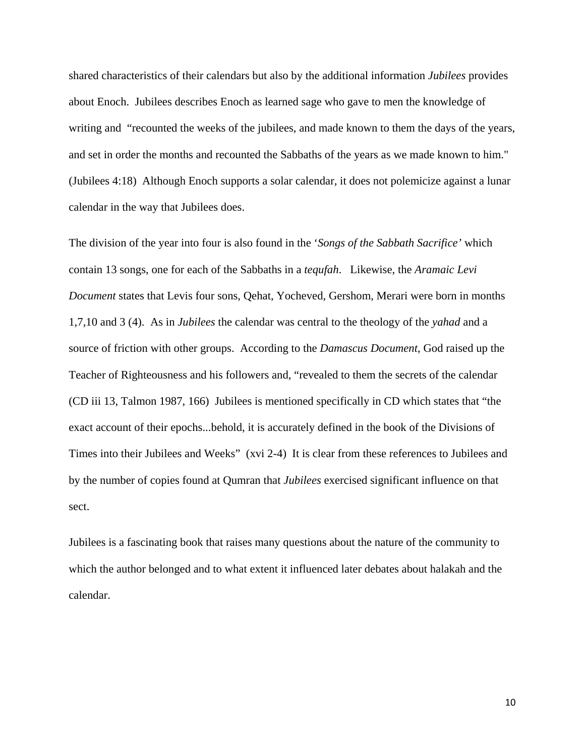shared characteristics of their calendars but also by the additional information *Jubilees* provides about Enoch. Jubilees describes Enoch as learned sage who gave to men the knowledge of writing and "recounted the weeks of the jubilees, and made known to them the days of the years, and set in order the months and recounted the Sabbaths of the years as we made known to him." (Jubilees 4:18) Although Enoch supports a solar calendar, it does not polemicize against a lunar calendar in the way that Jubilees does.

The division of the year into four is also found in the '*Songs of the Sabbath Sacrifice'* which contain 13 songs, one for each of the Sabbaths in a *tequfah*. Likewise, the *Aramaic Levi Document* states that Levis four sons, Qehat, Yocheved, Gershom, Merari were born in months 1,7,10 and 3 (4). As in *Jubilees* the calendar was central to the theology of the *yahad* and a source of friction with other groups. According to the *Damascus Document*, God raised up the Teacher of Righteousness and his followers and, "revealed to them the secrets of the calendar (CD iii 13, Talmon 1987, 166) Jubilees is mentioned specifically in CD which states that "the exact account of their epochs...behold, it is accurately defined in the book of the Divisions of Times into their Jubilees and Weeks" (xvi 2-4) It is clear from these references to Jubilees and by the number of copies found at Qumran that *Jubilees* exercised significant influence on that sect.

Jubilees is a fascinating book that raises many questions about the nature of the community to which the author belonged and to what extent it influenced later debates about halakah and the calendar.